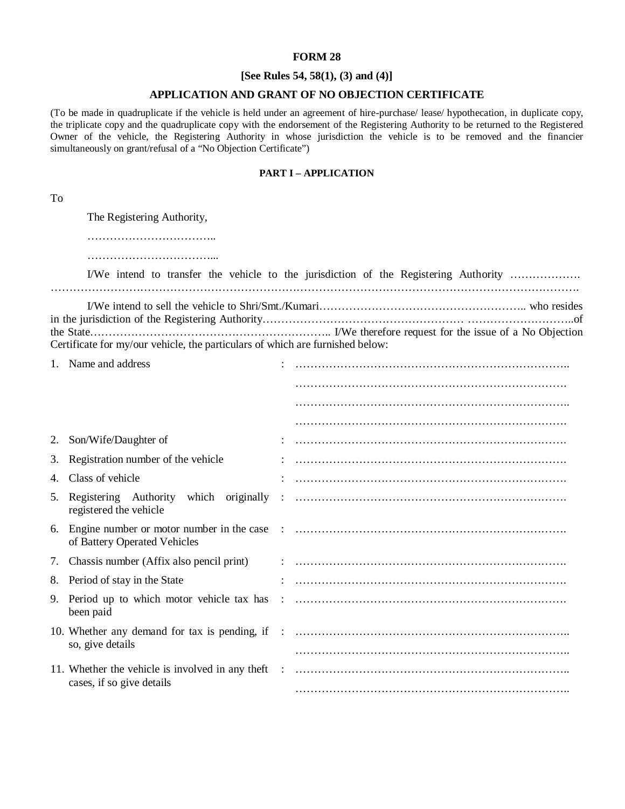#### **FORM 28**

## **[See Rules 54, 58(1), (3) and (4)]**

## **APPLICATION AND GRANT OF NO OBJECTION CERTIFICATE**

(To be made in quadruplicate if the vehicle is held under an agreement of hire-purchase/ lease/ hypothecation, in duplicate copy, the triplicate copy and the quadruplicate copy with the endorsement of the Registering Authority to be returned to the Registered Owner of the vehicle, the Registering Authority in whose jurisdiction the vehicle is to be removed and the financier simultaneously on grant/refusal of a "No Objection Certificate")

#### **PART I – APPLICATION**

| ٠ |                    |
|---|--------------------|
|   | 전 사                |
|   | I<br>×<br>M.<br>۰. |

The Registering Authority,

……………………………..

………………………………………

|  |  |  |  |  |  |  |  |                                                                               |  |  | I/We intend to transfer the vehicle to the jurisdiction of the Registering Authority |
|--|--|--|--|--|--|--|--|-------------------------------------------------------------------------------|--|--|--------------------------------------------------------------------------------------|
|  |  |  |  |  |  |  |  |                                                                               |  |  |                                                                                      |
|  |  |  |  |  |  |  |  |                                                                               |  |  |                                                                                      |
|  |  |  |  |  |  |  |  |                                                                               |  |  |                                                                                      |
|  |  |  |  |  |  |  |  |                                                                               |  |  |                                                                                      |
|  |  |  |  |  |  |  |  | Certificate for my/our vehicle, the particulars of which are furnished below: |  |  |                                                                                      |

|    | 1. Name and address                      |  |
|----|------------------------------------------|--|
|    |                                          |  |
|    |                                          |  |
|    |                                          |  |
| 2. | Son/Wife/Daughter of                     |  |
| 3. | Registration number of the vehicle       |  |
|    | 4. Class of vehicle                      |  |
| 5. | registered the vehicle                   |  |
|    | of Battery Operated Vehicles             |  |
| 7. | Chassis number (Affix also pencil print) |  |
| 8. | Period of stay in the State              |  |
| 9. | been paid                                |  |
|    | so, give details                         |  |
|    | cases, if so give details                |  |
|    |                                          |  |